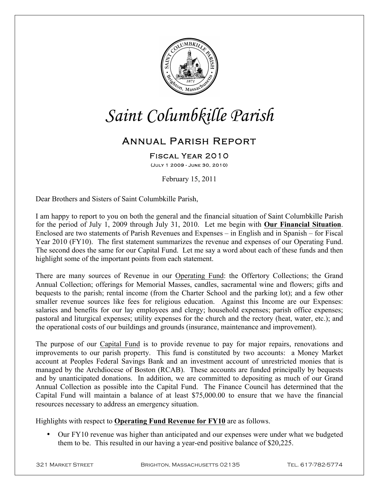

# *Saint Columbkille Parish*

# Annual Parish Report

Fiscal Year 2010 (July 1 2009 - June 30, 2010)

February 15, 2011

Dear Brothers and Sisters of Saint Columbkille Parish,

I am happy to report to you on both the general and the financial situation of Saint Columbkille Parish for the period of July 1, 2009 through July 31, 2010. Let me begin with **Our Financial Situation**. Enclosed are two statements of Parish Revenues and Expenses – in English and in Spanish – for Fiscal Year 2010 (FY10). The first statement summarizes the revenue and expenses of our Operating Fund. The second does the same for our Capital Fund. Let me say a word about each of these funds and then highlight some of the important points from each statement.

There are many sources of Revenue in our Operating Fund: the Offertory Collections; the Grand Annual Collection; offerings for Memorial Masses, candles, sacramental wine and flowers; gifts and bequests to the parish; rental income (from the Charter School and the parking lot); and a few other smaller revenue sources like fees for religious education. Against this Income are our Expenses: salaries and benefits for our lay employees and clergy; household expenses; parish office expenses; pastoral and liturgical expenses; utility expenses for the church and the rectory (heat, water, etc.); and the operational costs of our buildings and grounds (insurance, maintenance and improvement).

The purpose of our Capital Fund is to provide revenue to pay for major repairs, renovations and improvements to our parish property. This fund is constituted by two accounts: a Money Market account at Peoples Federal Savings Bank and an investment account of unrestricted monies that is managed by the Archdiocese of Boston (RCAB). These accounts are funded principally by bequests and by unanticipated donations. In addition, we are committed to depositing as much of our Grand Annual Collection as possible into the Capital Fund. The Finance Council has determined that the Capital Fund will maintain a balance of at least \$75,000.00 to ensure that we have the financial resources necessary to address an emergency situation.

Highlights with respect to **Operating Fund Revenue for FY10** are as follows.

• Our FY10 revenue was higher than anticipated and our expenses were under what we budgeted them to be. This resulted in our having a year-end positive balance of \$20,225.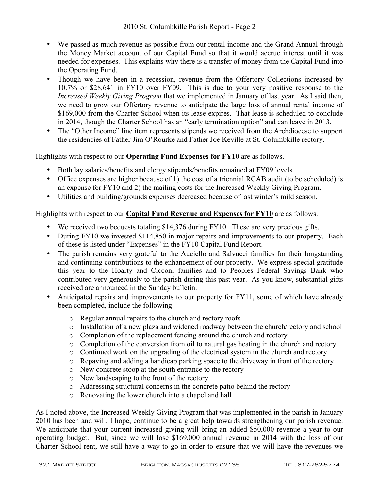## 2010 St. Columbkille Parish Report - Page 2

- We passed as much revenue as possible from our rental income and the Grand Annual through the Money Market account of our Capital Fund so that it would accrue interest until it was needed for expenses. This explains why there is a transfer of money from the Capital Fund into the Operating Fund.
- Though we have been in a recession, revenue from the Offertory Collections increased by 10.7% or \$28,641 in FY10 over FY09. This is due to your very positive response to the *Increased Weekly Giving Program* that we implemented in January of last year. As I said then, we need to grow our Offertory revenue to anticipate the large loss of annual rental income of \$169,000 from the Charter School when its lease expires. That lease is scheduled to conclude in 2014, though the Charter School has an "early termination option" and can leave in 2013.
- The "Other Income" line item represents stipends we received from the Archdiocese to support the residencies of Father Jim O'Rourke and Father Joe Keville at St. Columbkille rectory.

Highlights with respect to our **Operating Fund Expenses for FY10** are as follows.

- Both lay salaries/benefits and clergy stipends/benefits remained at FY09 levels.
- Office expenses are higher because of 1) the cost of a triennial RCAB audit (to be scheduled) is an expense for FY10 and 2) the mailing costs for the Increased Weekly Giving Program.
- Utilities and building/grounds expenses decreased because of last winter's mild season.

### Highlights with respect to our **Capital Fund Revenue and Expenses for FY10** are as follows.

- We received two bequests totaling \$14,376 during FY10. These are very precious gifts.
- During FY10 we invested \$114,850 in major repairs and improvements to our property. Each of these is listed under "Expenses" in the FY10 Capital Fund Report.
- The parish remains very grateful to the Auciello and Salvucci families for their longstanding and continuing contributions to the enhancement of our property. We express special gratitude this year to the Hoarty and Cicconi families and to Peoples Federal Savings Bank who contributed very generously to the parish during this past year. As you know, substantial gifts received are announced in the Sunday bulletin.
- Anticipated repairs and improvements to our property for FY11, some of which have already been completed, include the following:
	- o Regular annual repairs to the church and rectory roofs
	- o Installation of a new plaza and widened roadway between the church/rectory and school
	- o Completion of the replacement fencing around the church and rectory
	- o Completion of the conversion from oil to natural gas heating in the church and rectory
	- $\circ$  Continued work on the upgrading of the electrical system in the church and rectory
	- o Repaving and adding a handicap parking space to the driveway in front of the rectory
	- o New concrete stoop at the south entrance to the rectory
	- o New landscaping to the front of the rectory
	- o Addressing structural concerns in the concrete patio behind the rectory
	- o Renovating the lower church into a chapel and hall

As I noted above, the Increased Weekly Giving Program that was implemented in the parish in January 2010 has been and will, I hope, continue to be a great help towards strengthening our parish revenue. We anticipate that your current increased giving will bring an added \$50,000 revenue a year to our operating budget. But, since we will lose \$169,000 annual revenue in 2014 with the loss of our Charter School rent, we still have a way to go in order to ensure that we will have the revenues we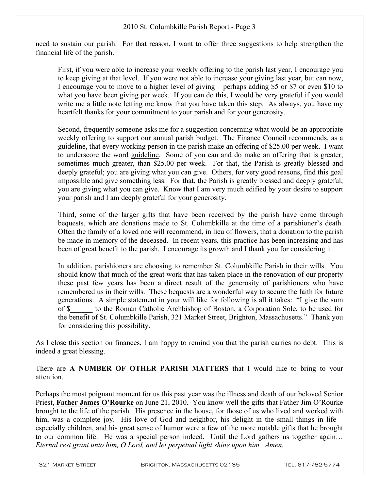need to sustain our parish. For that reason, I want to offer three suggestions to help strengthen the financial life of the parish.

First, if you were able to increase your weekly offering to the parish last year, I encourage you to keep giving at that level. If you were not able to increase your giving last year, but can now, I encourage you to move to a higher level of giving – perhaps adding \$5 or \$7 or even \$10 to what you have been giving per week. If you can do this, I would be very grateful if you would write me a little note letting me know that you have taken this step. As always, you have my heartfelt thanks for your commitment to your parish and for your generosity.

Second, frequently someone asks me for a suggestion concerning what would be an appropriate weekly offering to support our annual parish budget. The Finance Council recommends, as a guideline, that every working person in the parish make an offering of \$25.00 per week. I want to underscore the word guideline. Some of you can and do make an offering that is greater, sometimes much greater, than \$25.00 per week. For that, the Parish is greatly blessed and deeply grateful; you are giving what you can give. Others, for very good reasons, find this goal impossible and give something less. For that, the Parish is greatly blessed and deeply grateful; you are giving what you can give. Know that I am very much edified by your desire to support your parish and I am deeply grateful for your generosity.

Third, some of the larger gifts that have been received by the parish have come through bequests, which are donations made to St. Columbkille at the time of a parishioner's death. Often the family of a loved one will recommend, in lieu of flowers, that a donation to the parish be made in memory of the deceased. In recent years, this practice has been increasing and has been of great benefit to the parish. I encourage its growth and I thank you for considering it.

In addition, parishioners are choosing to remember St. Columbkille Parish in their wills. You should know that much of the great work that has taken place in the renovation of our property these past few years has been a direct result of the generosity of parishioners who have remembered us in their wills. These bequests are a wonderful way to secure the faith for future generations. A simple statement in your will like for following is all it takes: "I give the sum of \$\_\_\_\_\_\_ to the Roman Catholic Archbishop of Boston, a Corporation Sole, to be used for the benefit of St. Columbkille Parish, 321 Market Street, Brighton, Massachusetts." Thank you for considering this possibility.

As I close this section on finances, I am happy to remind you that the parish carries no debt. This is indeed a great blessing.

There are **A NUMBER OF OTHER PARISH MATTERS** that I would like to bring to your attention.

Perhaps the most poignant moment for us this past year was the illness and death of our beloved Senior Priest, **Father James O'Rourke** on June 21, 2010. You know well the gifts that Father Jim O'Rourke brought to the life of the parish. His presence in the house, for those of us who lived and worked with him, was a complete joy. His love of God and neighbor, his delight in the small things in life – especially children, and his great sense of humor were a few of the more notable gifts that he brought to our common life. He was a special person indeed. Until the Lord gathers us together again… *Eternal rest grant unto him, O Lord, and let perpetual light shine upon him. Amen.*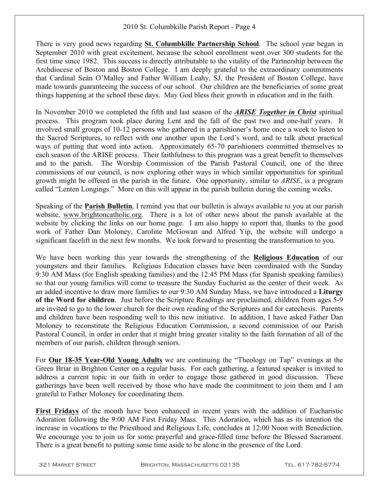There is very good news regarding **St. Columbkille Partnership School**. The school year began in September 2010 with great excitement, because the school enrollment went over 300 students for the first time since 1982. This success is directly attributable to the vitality of the Partnership between the Archdiocese of Boston and Boston College. I am deeply grateful to the extraordinary commitments that Cardinal Seán O'Malley and Father William Leahy, SJ, the President of Boston College, have made towards guaranteeing the success of our school. Our children are the beneficiaries of some great things happening at the school these days. May God bless their growth in education and in the faith.

In November 2010 we completed the fifth and last season of the *ARISE Together in Christ* spiritual process. This program took place during Lent and the fall of the past two and one-half years. It involved small groups of 10-12 persons who gathered in a parishioner's home once a week to listen to the Sacred Scriptures, to reflect with one another upon the Lord's word, and to talk about practical ways of putting that word into action. Approximately 65-70 parishioners committed themselves to each season of the ARISE process. Their faithfulness to this program was a great benefit to themselves and to the parish. The Worship Commission of the Parish Pastoral Council, one of the three commissions of our council, is now exploring other ways in which similar opportunities for spiritual growth might be offered in the parish in the future. One opportunity, similar to *ARISE*, is a program called "Lenten Longings." More on this will appear in the parish bulletin during the coming weeks.

Speaking of the **Parish Bulletin**, I remind you that our bulletin is always available to you at our parish website, www.brightoncatholic.org. There is a lot of other news about the parish available at the website by clicking the links on our home page. I am also happy to report that, thanks to the good work of Father Dan Moloney, Caroline McGowan and Alfred Yip, the website will undergo a significant facelift in the next few months. We look forward to presenting the transformation to you.

We have been working this year towards the strengthening of the **Religious Education** of our youngsters and their families. Religious Education classes have been coordinated with the Sunday 9:30 AM Mass (for English speaking families) and the 12:45 PM Mass (for Spanish speaking families) so that our young families will come to treasure the Sunday Eucharist as the center of their week. As an added incentive to draw more families to our 9:30 AM Sunday Mass, we have introduced a **Liturgy of the Word for children**. Just before the Scripture Readings are proclaimed, children from ages 5-9 are invited to go to the lower church for their own reading of the Scriptures and for catechesis. Parents and children have been responding well to this new initiative. In addition, I have asked Father Dan Moloney to reconstitute the Religious Education Commission, a second commission of our Parish Pastoral Council, in order in order that it might bring greater vitality to the faith formation of all of the members of our parish, children through seniors.

For **Our 18-35 Year-Old Young Adults** we are continuing the "Theology on Tap" evenings at the Green Briar in Brighton Center on a regular basis. For each gathering, a featured speaker is invited to address a current topic in our faith in order to engage those gathered in good discussion. These gatherings have been well received by those who have made the commitment to join them and I am grateful to Father Moloney for coordinating them.

**First Fridays** of the month have been enhanced in recent years with the addition of Eucharistic Adoration following the 9:00 AM First Friday Mass. This Adoration, which has as its intention the increase in vocations to the Priesthood and Religious Life, concludes at 12:00 Noon with Benediction. We encourage you to join us for some prayerful and grace-filled time before the Blessed Sacrament. There is a great benefit to putting some time aside to be alone in the presence of the Lord.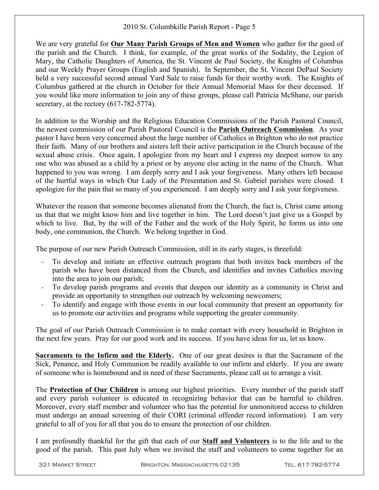We are very grateful for **Our Many Parish Groups of Men and Women** who gather for the good of the parish and the Church. I think, for example, of the great works of the Sodality, the Legion of Mary, the Catholic Daughters of America, the St. Vincent de Paul Society, the Knights of Columbus and our Weekly Prayer Groups (English and Spanish). In September, the St. Vincent DePaul Society held a very successful second annual Yard Sale to raise funds for their worthy work. The Knights of Columbus gathered at the church in October for their Annual Memorial Mass for their deceased. If you would like more information to join any of these groups, please call Patricia McShane, our parish secretary, at the rectory  $(617-782-5774)$ .

In addition to the Worship and the Religious Education Commissions of the Parish Pastoral Council, the newest commission of our Parish Pastoral Council is the **Parish Outreach Commission**. As your pastor I have been very concerned about the large number of Catholics in Brighton who do not practice their faith. Many of our brothers and sisters left their active participation in the Church because of the sexual abuse crisis. Once again, I apologize from my heart and I express my deepest sorrow to any one who was abused as a child by a priest or by anyone else acting in the name of the Church. What happened to you was wrong. I am deeply sorry and I ask your forgiveness. Many others left because of the hurtful ways in which Our Lady of the Presentation and St. Gabriel parishes were closed. I apologize for the pain that so many of you experienced. I am deeply sorry and I ask your forgiveness.

Whatever the reason that someone becomes alienated from the Church, the fact is, Christ came among us that that we might know him and live together in him. The Lord doesn't just give us a Gospel by which to live. But, by the will of the Father and the work of the Holy Spirit, he forms us into one body, one communion, the Church. We belong together in God.

The purpose of our new Parish Outreach Commission, still in its early stages, is threefold:

- To develop and initiate an effective outreach program that both invites back members of the parish who have been distanced from the Church, and identifies and invites Catholics moving into the area to join our parish;
- To develop parish programs and events that deepen our identity as a community in Christ and provide an opportunity to strengthen our outreach by welcoming newcomers;
- To identify and engage with those events in our local community that present an opportunity for us to promote our activities and programs while supporting the greater community.

The goal of our Parish Outreach Commission is to make contact with every household in Brighton in the next few years. Pray for our good work and its success. If you have ideas for us, let us know.

**Sacraments to the Infirm and the Elderly.** One of our great desires is that the Sacrament of the Sick, Penance, and Holy Communion be readily available to our infirm and elderly. If you are aware of someone who is homebound and in need of these Sacraments, please call us to arrange a visit.

The **Protection of Our Children** is among our highest priorities. Every member of the parish staff and every parish volunteer is educated in recognizing behavior that can be harmful to children. Moreover, every staff member and volunteer who has the potential for unmonitored access to children must undergo an annual screening of their CORI (criminal offender record information). I am very grateful to all of you for all that you do to ensure the protection of our children.

I am profoundly thankful for the gift that each of our **Staff and Volunteers** is to the life and to the good of the parish. This past July when we invited the staff and volunteers to come together for an